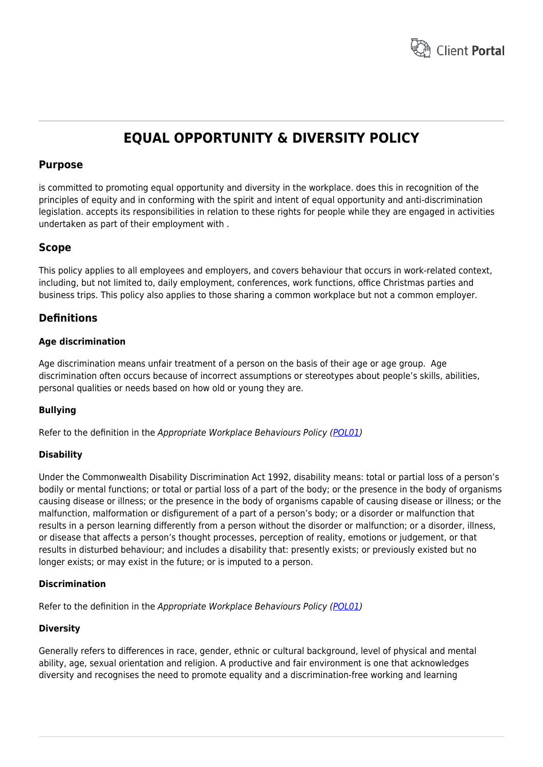

# **EQUAL OPPORTUNITY & DIVERSITY POLICY**

# **Purpose**

is committed to promoting equal opportunity and diversity in the workplace. does this in recognition of the principles of equity and in conforming with the spirit and intent of equal opportunity and anti-discrimination legislation. accepts its responsibilities in relation to these rights for people while they are engaged in activities undertaken as part of their employment with .

# **Scope**

This policy applies to all employees and employers, and covers behaviour that occurs in work-related context, including, but not limited to, daily employment, conferences, work functions, office Christmas parties and business trips. This policy also applies to those sharing a common workplace but not a common employer.

# **Definitions**

# **Age discrimination**

Age discrimination means unfair treatment of a person on the basis of their age or age group. Age discrimination often occurs because of incorrect assumptions or stereotypes about people's skills, abilities, personal qualities or needs based on how old or young they are.

# **Bullying**

Refer to the definition in the Appropriate Workplace Behaviours Policy [\(POL01](https://www.hrtemplates.com.au/policies_procedures/hr-pol01-appropriate-workplace-behaviours-policy/))

# **Disability**

Under the Commonwealth Disability Discrimination Act 1992, disability means: total or partial loss of a person's bodily or mental functions; or total or partial loss of a part of the body; or the presence in the body of organisms causing disease or illness; or the presence in the body of organisms capable of causing disease or illness; or the malfunction, malformation or disfigurement of a part of a person's body; or a disorder or malfunction that results in a person learning differently from a person without the disorder or malfunction; or a disorder, illness, or disease that affects a person's thought processes, perception of reality, emotions or judgement, or that results in disturbed behaviour; and includes a disability that: presently exists; or previously existed but no longer exists; or may exist in the future; or is imputed to a person.

# **Discrimination**

Refer to the definition in the Appropriate Workplace Behaviours Policy [\(POL01](https://www.hrtemplates.com.au/policies_procedures/hr-pol01-appropriate-workplace-behaviours-policy/))

# **Diversity**

Generally refers to differences in race, gender, ethnic or cultural background, level of physical and mental ability, age, sexual orientation and religion. A productive and fair environment is one that acknowledges diversity and recognises the need to promote equality and a discrimination-free working and learning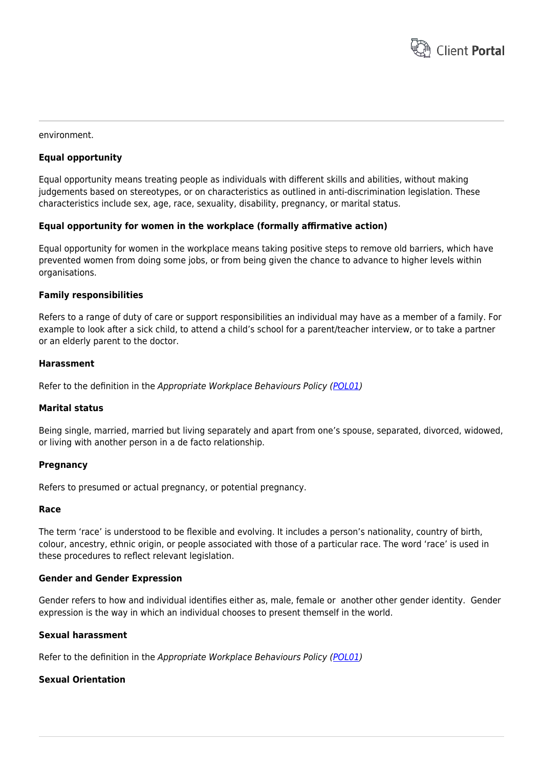

#### environment.

# **Equal opportunity**

Equal opportunity means treating people as individuals with different skills and abilities, without making judgements based on stereotypes, or on characteristics as outlined in anti-discrimination legislation. These characteristics include sex, age, race, sexuality, disability, pregnancy, or marital status.

#### **Equal opportunity for women in the workplace (formally affirmative action)**

Equal opportunity for women in the workplace means taking positive steps to remove old barriers, which have prevented women from doing some jobs, or from being given the chance to advance to higher levels within organisations.

#### **Family responsibilities**

Refers to a range of duty of care or support responsibilities an individual may have as a member of a family. For example to look after a sick child, to attend a child's school for a parent/teacher interview, or to take a partner or an elderly parent to the doctor.

### **Harassment**

Refer to the definition in the Appropriate Workplace Behaviours Policy [\(POL01](https://www.hrtemplates.com.au/policies_procedures/hr-pol01-appropriate-workplace-behaviours-policy/))

#### **Marital status**

Being single, married, married but living separately and apart from one's spouse, separated, divorced, widowed, or living with another person in a de facto relationship.

#### **Pregnancy**

Refers to presumed or actual pregnancy, or potential pregnancy.

#### **Race**

The term 'race' is understood to be flexible and evolving. It includes a person's nationality, country of birth, colour, ancestry, ethnic origin, or people associated with those of a particular race. The word 'race' is used in these procedures to reflect relevant legislation.

#### **Gender and Gender Expression**

Gender refers to how and individual identifies either as, male, female or another other gender identity. Gender expression is the way in which an individual chooses to present themself in the world.

### **Sexual harassment**

Refer to the definition in the Appropriate Workplace Behaviours Policy [\(POL01](https://www.hrtemplates.com.au/policies_procedures/hr-pol01-appropriate-workplace-behaviours-policy/))

# **Sexual Orientation**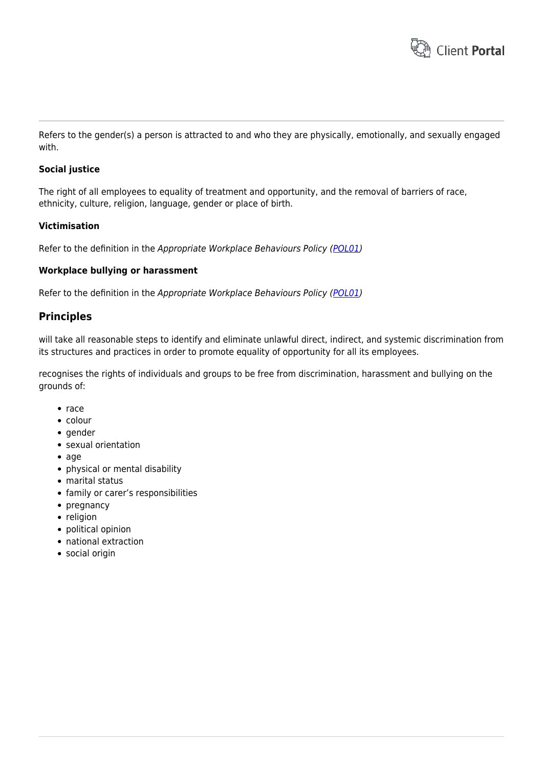

Refers to the gender(s) a person is attracted to and who they are physically, emotionally, and sexually engaged with.

# **Social justice**

The right of all employees to equality of treatment and opportunity, and the removal of barriers of race, ethnicity, culture, religion, language, gender or place of birth.

# **Victimisation**

Refer to the definition in the Appropriate Workplace Behaviours Policy [\(POL01](https://www.hrtemplates.com.au/policies_procedures/hr-pol01-appropriate-workplace-behaviours-policy/))

# **Workplace bullying or harassment**

Refer to the definition in the Appropriate Workplace Behaviours Policy [\(POL01](https://www.hrtemplates.com.au/policies_procedures/hr-pol01-appropriate-workplace-behaviours-policy/))

# **Principles**

will take all reasonable steps to identify and eliminate unlawful direct, indirect, and systemic discrimination from its structures and practices in order to promote equality of opportunity for all its employees.

recognises the rights of individuals and groups to be free from discrimination, harassment and bullying on the grounds of:

- $rac{e}{2}$
- colour
- gender
- sexual orientation
- age
- physical or mental disability
- marital status
- family or carer's responsibilities
- $\bullet$  pregnancy
- religion
- political opinion
- national extraction
- social origin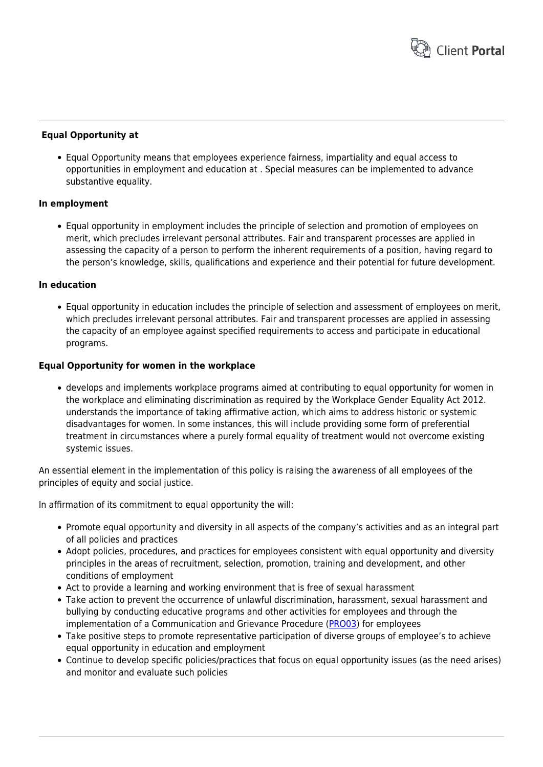

# **Equal Opportunity at**

Equal Opportunity means that employees experience fairness, impartiality and equal access to opportunities in employment and education at . Special measures can be implemented to advance substantive equality.

# **In employment**

Equal opportunity in employment includes the principle of selection and promotion of employees on merit, which precludes irrelevant personal attributes. Fair and transparent processes are applied in assessing the capacity of a person to perform the inherent requirements of a position, having regard to the person's knowledge, skills, qualifications and experience and their potential for future development.

# **In education**

Equal opportunity in education includes the principle of selection and assessment of employees on merit, which precludes irrelevant personal attributes. Fair and transparent processes are applied in assessing the capacity of an employee against specified requirements to access and participate in educational programs.

# **Equal Opportunity for women in the workplace**

develops and implements workplace programs aimed at contributing to equal opportunity for women in the workplace and eliminating discrimination as required by the Workplace Gender Equality Act 2012. understands the importance of taking affirmative action, which aims to address historic or systemic disadvantages for women. In some instances, this will include providing some form of preferential treatment in circumstances where a purely formal equality of treatment would not overcome existing systemic issues.

An essential element in the implementation of this policy is raising the awareness of all employees of the principles of equity and social justice.

In affirmation of its commitment to equal opportunity the will:

- Promote equal opportunity and diversity in all aspects of the company's activities and as an integral part of all policies and practices
- Adopt policies, procedures, and practices for employees consistent with equal opportunity and diversity principles in the areas of recruitment, selection, promotion, training and development, and other conditions of employment
- Act to provide a learning and working environment that is free of sexual harassment
- Take action to prevent the occurrence of unlawful discrimination, harassment, sexual harassment and bullying by conducting educative programs and other activities for employees and through the implementation of a Communication and Grievance Procedure ([PRO03\)](https://www.hrtemplates.com.au/policies_procedures/hr-pro03-communication-grievance-procedure/) for employees
- Take positive steps to promote representative participation of diverse groups of employee's to achieve equal opportunity in education and employment
- Continue to develop specific policies/practices that focus on equal opportunity issues (as the need arises) and monitor and evaluate such policies